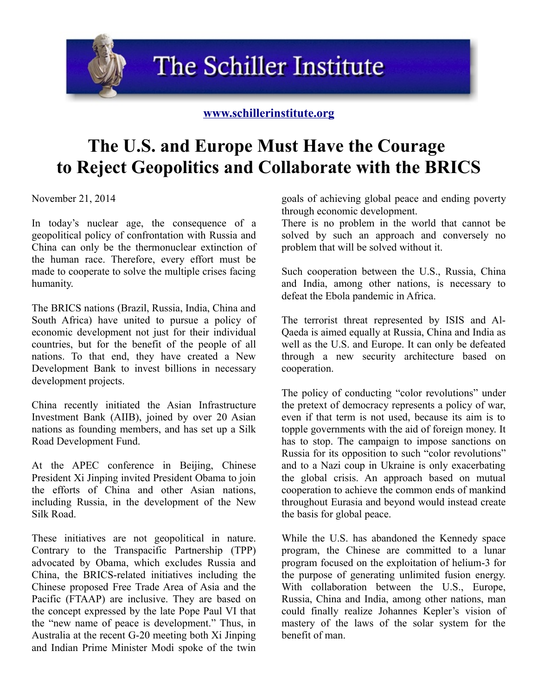The Schiller Institute

## **[www.schillerinstitute.org](http://www.schillerinstitute.org/)**

## **The U.S. and Europe Must Have the Courage to Reject Geopolitics and Collaborate with the BRICS**

November 21, 2014

In today's nuclear age, the consequence of a geopolitical policy of confrontation with Russia and China can only be the thermonuclear extinction of the human race. Therefore, every effort must be made to cooperate to solve the multiple crises facing humanity.

The BRICS nations (Brazil, Russia, India, China and South Africa) have united to pursue a policy of economic development not just for their individual countries, but for the benefit of the people of all nations. To that end, they have created a New Development Bank to invest billions in necessary development projects.

China recently initiated the Asian Infrastructure Investment Bank (AIIB), joined by over 20 Asian nations as founding members, and has set up a Silk Road Development Fund.

At the APEC conference in Beijing, Chinese President Xi Jinping invited President Obama to join the efforts of China and other Asian nations, including Russia, in the development of the New Silk Road.

These initiatives are not geopolitical in nature. Contrary to the Transpacific Partnership (TPP) advocated by Obama, which excludes Russia and China, the BRICS-related initiatives including the Chinese proposed Free Trade Area of Asia and the Pacific (FTAAP) are inclusive. They are based on the concept expressed by the late Pope Paul VI that the "new name of peace is development." Thus, in Australia at the recent G-20 meeting both Xi Jinping and Indian Prime Minister Modi spoke of the twin

goals of achieving global peace and ending poverty through economic development.

There is no problem in the world that cannot be solved by such an approach and conversely no problem that will be solved without it.

Such cooperation between the U.S., Russia, China and India, among other nations, is necessary to defeat the Ebola pandemic in Africa.

The terrorist threat represented by ISIS and Al-Qaeda is aimed equally at Russia, China and India as well as the U.S. and Europe. It can only be defeated through a new security architecture based on cooperation.

The policy of conducting "color revolutions" under the pretext of democracy represents a policy of war, even if that term is not used, because its aim is to topple governments with the aid of foreign money. It has to stop. The campaign to impose sanctions on Russia for its opposition to such "color revolutions" and to a Nazi coup in Ukraine is only exacerbating the global crisis. An approach based on mutual cooperation to achieve the common ends of mankind throughout Eurasia and beyond would instead create the basis for global peace.

While the U.S. has abandoned the Kennedy space program, the Chinese are committed to a lunar program focused on the exploitation of helium-3 for the purpose of generating unlimited fusion energy. With collaboration between the U.S., Europe, Russia, China and India, among other nations, man could finally realize Johannes Kepler's vision of mastery of the laws of the solar system for the benefit of man.